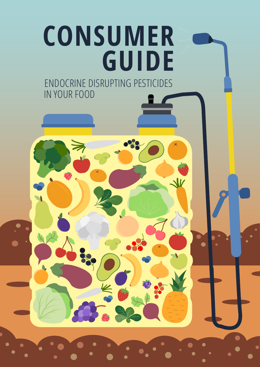# **CONSUMER GUIDE**  ENDOCRINE DISRUPTING PESTICIDES IN YOUR FOOD

 $K$ 

**K.** 

 $\overline{\mathbf{x}}$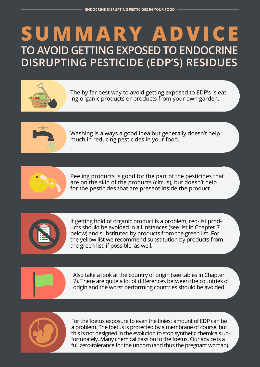# **Summary advice to avoid getting exposed to endocrine disrupting pesticide (EDP's) residues**



The by far best way to avoid getting exposed to EDP's is eating organic products or products from your own garden.



Washing is always a good idea but generally doesn't help much in reducing pesticides in your food.



Peeling products is good for the part of the pesticides that are on the skin of the products (citrus), but doesn't help for the pesticides that are present inside the product.



If getting hold of organic product is a problem, red-list products should be avoided in all instances (see list in Chapter 7 below) and substituted by products from the green list. For the yellow list we recommend substitution by products from the green list, if possible, as well.



Also take a look at the country of origin (see tables in Chapter 7). There are quite a lot of differences between the countries of origin and the worst performing countries should be avoided.



For the foetus exposure to even the tiniest amount of EDP can be a problem. The foetus is protected by a membrane of course, but this is not designed in the evolution to stop synthetic chemicals unfortunately. Many chemical pass on to the foetus. Our advice is a full zero-tolerance for the unborn (and thus the pregnant woman).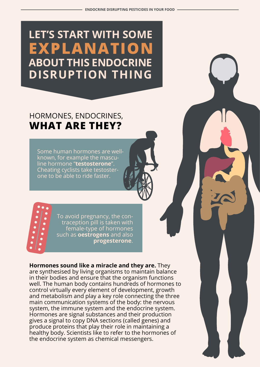## **Let's start with some explanation about this endocrine disruption thing**

### Hormones, endocrines, **what are they?**

Some human hormones are wellknown, for example the masculine hormone "**testosterone**". Cheating cyclists take testosterone to be able to ride faster.



**Hormones sound like a miracle and they are.** They are synthesised by living organisms to maintain balance in their bodies and ensure that the organism functions well. The human body contains hundreds of hormones to control virtually every element of development, growth and metabolism and play a key role connecting the three main communication systems of the body: the nervous system, the immune system and the endocrine system. Hormones are signal substances and their production gives a signal to copy DNA sections (called genes) and produce proteins that play their role in maintaining a healthy body. Scientists like to refer to the hormones of the endocrine system as chemical messengers.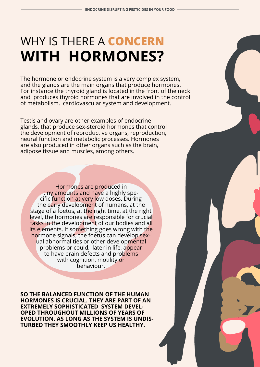# Why is there a **concern with hormones?**

The hormone or endocrine system is a very complex system, and the glands are the main organs that produce hormones. For instance the thyroid gland is located in the front of the neck and produces thyroid hormones that are involved in the control of metabolism, cardiovascular system and development.

Testis and ovary are other examples of endocrine glands, that produce sex-steroid hormones that control the development of reproductive organs, reproduction, neural function and metabolic processes. Hormones are also produced in other organs such as the brain, adipose tissue and muscles, among others.

Hormones are produced in tiny amounts and have a highly specific function at very low doses. During the early development of humans, at the stage of a foetus, at the right time, at the right level, the hormones are responsible for crucial tasks in the development of our bodies and all its elements. If something goes wrong with the hormone signals, the foetus can develop sexual abnormalities or other developmental problems or could, later in life, appear to have brain defects and problems with cognition, motility or **hehaviour** 

**So the balanced function of the human hormones is crucial. They are part of an extremely sophisticated system developed throughout millions of years of evolution. As long as the system is undisturbed they smoothly keep us healthy.**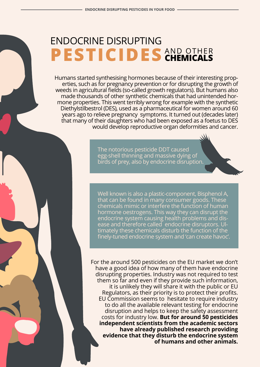#### Endocrine disrupting PESTICIDES AND OTHER **chemicals**

Humans started synthesising hormones because of their interesting properties, such as for pregnancy prevention or for disrupting the growth of weeds in agricultural fields (so-called growth regulators). But humans also made thousands of other synthetic chemicals that had unintended hormone properties. This went terribly wrong for example with the synthetic Diethylstilbestrol (DES), used as a pharmaceutical for women around 60 years ago to relieve pregnancy symptoms. It turned out (decades later) that many of their daughters who had been exposed as a foetus to DES would develop reproductive organ deformities and cancer.

> The notorious pesticide DDT caused egg-shell thinning and massive dying of birds of prey, also by endocrine disruption.

Well known is also a plastic-component, Bisphenol A, that can be found in many consumer goods. These chemicals mimic or interfere the function of human hormone oestrogens. This way they can disrupt the endocrine system causing health problems and disease and therefore called endocrine disruptors. Ultimately these chemicals disturb the function of the finely-tuned endocrine system and 'can create havoc'.

For the around 500 pesticides on the EU market we don't have a good idea of how many of them have endocrine disrupting properties. Industry was not required to test them so far and even if they provide such information, it is unlikely they will share it with the public or EU Regulators, as their priority is to protect their profits. EU Commission seems to hesitate to require industry to do all the available relevant testing for endocrine disruption and helps to keep the safety assessment costs for industry low. **But for around 50 pesticides independent scientists from the academic sectors have already published research providing evidence that they disturb the endocrine system of humans and other animals.**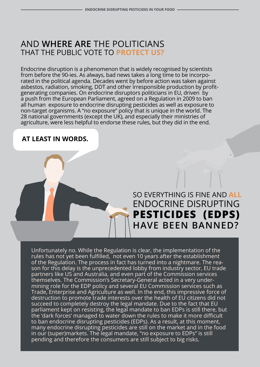#### And **where are** the politicians that the public vote to **protect us?**

Endocrine disruption is a phenomenon that is widely recognised by scientists from before the 90-ies. As always, bad news takes a long time to be incorporated in the political agenda. Decades went by before action was taken against asbestos, radiation, smoking, DDT and other irresponsible production by profitgenerating companies. On endocrine disruptors politicians in EU, driven by a push from the European Parliament, agreed on a Regulation in 2009 to ban all human exposure to endocrine disrupting pesticides as well as exposure to non-target organisms. A "no exposure" policy that is unique in the world. The 28 national governments (except the UK), and especially their ministries of agriculture, were less helpful to endorse these rules, but they did in the end.

#### **At least in words.**

### So everything is fine and **all** endocrine disrupting **pesticides (EDPs) have been banned?**

Unfortunately no. While the Regulation is clear, the implementation of the rules has not yet been fulfilled, not even 10 years after the establishment of the Regulation. The process in fact has turned into a nightmare. The reason for this delay is the unprecedented lobby from industry sector, EU trade partners like US and Australia, and even part of the Commission services themselves. The Commission's Secretary-General acted in a very undermining role for the EDP policy and several EU Commission services such as Trade, Enterprise and Agriculture as well. In the end, this impressive force of destruction to promote trade interests over the health of EU citizens did not succeed to completely destroy the legal mandate. Due to the fact that EU parliament kept on resisting, the legal mandate to ban EDPs is still there, but the 'dark forces' managed to water down the rules to make it more difficult to ban endocrine disrupting pesticides (EDPs). As a result, at this moment, many endocrine disrupting pesticides are still on the market and in the food in our (super)markets. The legal mandate, "no exposure to EDPs" is still pending and therefore the consumers are still subject to big risks.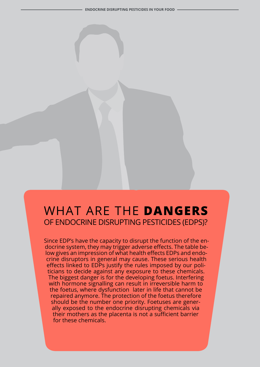### What are the **dangers** of endocrine disrupting pesticides (EDPs)?

Since EDP's have the capacity to disrupt the function of the endocrine system, they may trigger adverse effects. The table below gives an impression of what health effects EDPs and endocrine disruptors in general may cause. These serious health effects linked to EDPs justify the rules imposed by our politicians to decide against any exposure to these chemicals. The biggest danger is for the developing foetus. Interfering with hormone signalling can result in irreversible harm to the foetus, where dysfunction later in life that cannot be repaired anymore. The protection of the foetus therefore should be the number one priority. Foetuses are generally exposed to the endocrine disrupting chemicals via their mothers as the placenta is not a sufficient barrier for these chemicals.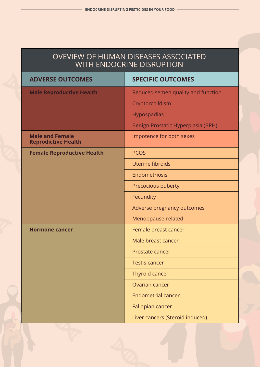#### Oveview of human diseases associated with endocrine disruption

| <b>ADVERSE OUTCOMES</b>                              | <b>SPECIFIC OUTCOMES</b>           |  |
|------------------------------------------------------|------------------------------------|--|
| <b>Male Reproductive Health</b>                      | Reduced semen quality and function |  |
|                                                      | Cryptorchildism                    |  |
|                                                      | Hypospadias                        |  |
|                                                      | Benign Prostatic Hyperplasia (BPH) |  |
| <b>Male and Female</b><br><b>Reprodictive Health</b> | Impotence for both sexes           |  |
| <b>Female Reproductive Health</b>                    | <b>PCOS</b>                        |  |
|                                                      | Uterine fibroids                   |  |
|                                                      | Endometriosis                      |  |
|                                                      | Precocious puberty                 |  |
|                                                      | Fecundity                          |  |
|                                                      | Adverse pregnancy outcomes         |  |
|                                                      | Menoppause-related                 |  |
| <b>Hormone cancer</b>                                | Female breast cancer               |  |
|                                                      | Male breast cancer                 |  |
|                                                      | Prostate cancer                    |  |
|                                                      | <b>Testis cancer</b>               |  |
|                                                      | Thyroid cancer                     |  |
|                                                      | Ovarian cancer                     |  |
|                                                      | <b>Endometrial cancer</b>          |  |
|                                                      | Fallopian cancer                   |  |
|                                                      | Liver cancers (Steroid induced)    |  |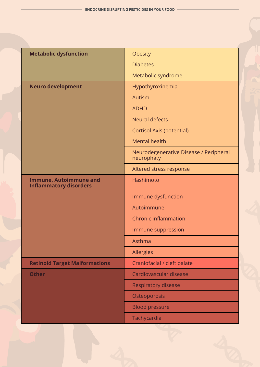| <b>Metabolic dysfunction</b>                                   | Obesity                                              |  |  |
|----------------------------------------------------------------|------------------------------------------------------|--|--|
|                                                                | <b>Diabetes</b>                                      |  |  |
|                                                                | Metabolic syndrome                                   |  |  |
| <b>Neuro development</b>                                       | Hypothyroxinemia                                     |  |  |
|                                                                | Autism                                               |  |  |
|                                                                | <b>ADHD</b>                                          |  |  |
|                                                                | <b>Neural defects</b>                                |  |  |
|                                                                | Cortisol Axis (potential)                            |  |  |
|                                                                | <b>Mental health</b>                                 |  |  |
|                                                                | Neurodegenerative Disease / Peripheral<br>neurophaty |  |  |
|                                                                | Altered stress response                              |  |  |
| <b>Immune, Autoimmune and</b><br><b>Inflammatory disorders</b> | Hashimoto                                            |  |  |
|                                                                | Immune dysfunction                                   |  |  |
|                                                                | Autoimmune                                           |  |  |
|                                                                | <b>Chronic inflammation</b>                          |  |  |
|                                                                | Immune suppression                                   |  |  |
|                                                                | Asthma                                               |  |  |
|                                                                | Allergies                                            |  |  |
| <b>Retinoid Target Malformations</b>                           | Craniofacial / cleft palate                          |  |  |
| <b>Other</b>                                                   | Cardiovascular disease                               |  |  |
|                                                                | <b>Respiratory disease</b>                           |  |  |
|                                                                | Osteoporosis                                         |  |  |
|                                                                | <b>Blood pressure</b>                                |  |  |
|                                                                | Tachycardia                                          |  |  |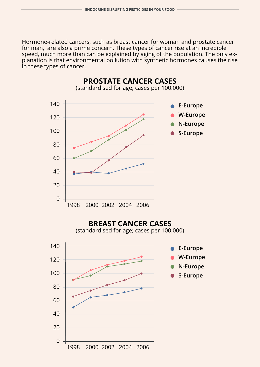Hormone-related cancers, such as breast cancer for woman and prostate cancer for man, are also a prime concern. These types of cancer rise at an incredible speed, much more than can be explained by aging of the population. The only explanation is that environmental pollution with synthetic hormones causes the rise in these types of cancer.

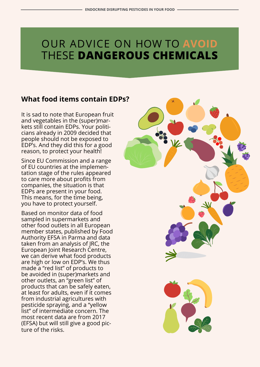### Our advice on how to **avoid** these **dangerous chemicals**

#### **What food items contain EDPs?**

It is sad to note that European fruit and vegetables in the (super)markets still contain EDPs. Your politicians already in 2009 decided that people should not be exposed to EDP's. And they did this for a good reason, to protect your health!

Since EU Commission and a range of EU countries at the implementation stage of the rules appeared to care more about profits from companies, the situation is that EDPs are present in your food. This means, for the time being, you have to protect yourself.

Based on monitor data of food sampled in supermarkets and other food outlets in all European member states, published by Food Authority EFSA in Parma and data taken from an analysis of JRC, the European Joint Research Centre, we can derive what food products are high or low on EDP's. We thus made a "red list" of products to be avoided in (super)markets and other outlets, an "green list" of products that can be safely eaten, at least for adults, even if it comes from industrial agricultures with pesticide spraying, and a "yellow list" of intermediate concern. The most recent data are from 2017 (EFSA) but will still give a good picture of the risks.

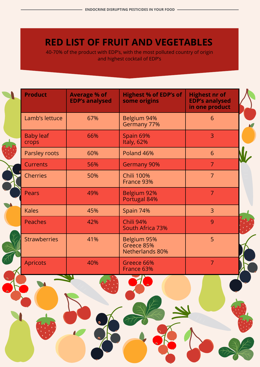### **Red list of fruit and vegetables**

40-70% of the product with EDP's, with the most polluted country of origin and highest cocktail of EDP's

| <b>Product</b>            | <b>Average % of</b><br><b>EDP's analysed</b> | <b>Highest % of EDP's of</b><br>some origins | <b>Highest nr of</b><br><b>EDP's analysed</b><br>in one product |  |
|---------------------------|----------------------------------------------|----------------------------------------------|-----------------------------------------------------------------|--|
| Lamb's lettuce            | 67%                                          | Belgium 94%<br>Germany 77%                   | 6                                                               |  |
| <b>Baby leaf</b><br>crops | 66%                                          | Spain 69%<br>Italy, 62%                      | $\overline{3}$                                                  |  |
| Parsley roots             | 60%                                          | Poland 46%                                   | 6                                                               |  |
| <b>Currents</b>           | 56%                                          | <b>Germany 90%</b>                           | $\overline{7}$                                                  |  |
| <b>Cherries</b>           | 50%                                          | <b>Chili 100%</b><br>France 93%              | $\overline{7}$                                                  |  |
| <b>Pears</b>              | 49%                                          | Belgium 92%<br>Portugal 84%                  | $\overline{7}$                                                  |  |
| <b>Kales</b>              | 45%                                          | Spain 74%                                    | $\overline{3}$                                                  |  |
| <b>Peaches</b>            | 42%                                          | Chili 94%<br>South Africa 73%                | 9                                                               |  |
| <b>Strawberries</b>       | 41%                                          | Belgium 95%<br>Greece 85%<br>Netherlands 80% | 5                                                               |  |
| <b>Apricots</b>           | 40%                                          | Greece 66%<br>France 63%                     | 7                                                               |  |
|                           |                                              |                                              |                                                                 |  |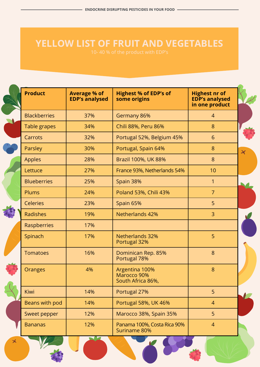### **Yellow list of fruit and vegetables**

202

 $\mathbf{x}$ 

| <b>Product</b>      | <b>Average % of</b><br><b>EDP's analysed</b> | <b>Highest % of EDP's of</b><br>some origins       | <b>Highest nr of</b><br><b>EDP's analysed</b><br>in one product |                       |
|---------------------|----------------------------------------------|----------------------------------------------------|-----------------------------------------------------------------|-----------------------|
| <b>Blackberries</b> | 37%                                          | Germany 86%                                        | $\overline{4}$                                                  |                       |
| Table grapes        | 34%                                          | Chili 88%, Peru 86%                                | 8                                                               |                       |
| Carrots             | 32%                                          | Portugal 52%, Belgium 45%                          | 6                                                               |                       |
| Parsley             | 30%                                          | Portugal, Spain 64%                                | 8                                                               | $\blacktriangleright$ |
| Apples              | 28%                                          | Brazil 100%, UK 88%                                | 8                                                               |                       |
| Lettuce             | 27%                                          | France 93%, Netherlands 54%                        | 10                                                              |                       |
| <b>Blueberries</b>  | 25%                                          | Spain 38%                                          | 1                                                               |                       |
| Plums               | 24%                                          | Poland 53%, Chili 43%                              | 7                                                               |                       |
| <b>Celeries</b>     | 23%                                          | Spain 65%                                          | 5                                                               |                       |
| <b>Radishes</b>     | 19%                                          | <b>Netherlands 42%</b>                             | 3                                                               |                       |
| Raspberries         | 17%                                          |                                                    |                                                                 |                       |
| Spinach             | 17%                                          | <b>Netherlands 32%</b><br>Portugal 32%             | 5                                                               |                       |
| <b>Tomatoes</b>     | 16%                                          | Dominican Rep. 85%<br>Portugal 78%                 | 8                                                               |                       |
| <b>Oranges</b>      | 4%                                           | Argentina 100%<br>Marocco 90%<br>South Africa 86%, | 8                                                               |                       |
| Kiwi                | 14%                                          | Portugal 27%                                       | 5                                                               |                       |
| Beans with pod      | 14%                                          | Portugal 58%, UK 46%                               | $\overline{4}$                                                  |                       |
| Sweet pepper        | 12%                                          | Marocco 38%, Spain 35%                             | 5                                                               |                       |
| <b>Bananas</b>      | 12%                                          | Panama 100%, Costa Rica 90%<br>Suriname 80%        | $\overline{4}$                                                  |                       |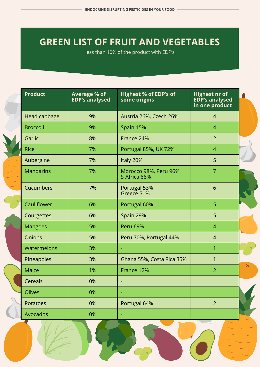### **Green list of fruit and vegetables**

less than 10% of the product with EDP's

| <b>Product</b>    | <b>Average % of</b><br><b>EDP's analysed</b> | <b>Highest % of EDP's of</b><br>some origins | <b>Highest nr of</b><br><b>EDP's analysed</b><br>in one product |           |
|-------------------|----------------------------------------------|----------------------------------------------|-----------------------------------------------------------------|-----------|
| Head cabbage      | 9%                                           | Austria 26%, Czech 26%                       | $\overline{4}$                                                  |           |
| <b>Broccoli</b>   | 9%                                           | Spain 15%                                    | $\overline{4}$                                                  |           |
| Garlic            | 8%                                           | France 24%                                   | $\overline{2}$                                                  |           |
| <b>Rice</b>       | 7%                                           | Portugal 85%, UK 72%                         | $\overline{4}$                                                  |           |
| Aubergine         | 7%                                           | Italy 20%                                    | 5                                                               |           |
| <b>Mandarins</b>  | 7%                                           | Morocco 98%, Peru 96%<br>S-Africa 88%        | $\overline{7}$                                                  |           |
| Cucumbers         | 7%                                           | Portugal 53%<br>Greece 51%                   | 6                                                               |           |
| Cauliflower       | 6%                                           | Portugal 60%                                 | 5                                                               |           |
| Courgettes        | 6%                                           | Spain 29%                                    | 5                                                               |           |
| <b>Mangoes</b>    | 5%                                           | <b>Peru 69%</b>                              | $\overline{4}$                                                  |           |
| <b>Onions</b>     | 5%                                           | Peru 70%, Portugal 44%                       | $\overline{4}$                                                  |           |
| Watermelons       | 3%                                           |                                              | 1                                                               |           |
| <b>Pineapples</b> | 3%                                           | Ghana 55%, Costa Rica 35%                    | $\mathbf{1}$                                                    | $\lambda$ |
| <b>Maize</b>      | 1%                                           | France 12%                                   | $\overline{2}$                                                  |           |
| Cereals           | 0%                                           |                                              |                                                                 |           |
| <b>Olives</b>     | 0%                                           |                                              |                                                                 |           |
| Potatoes          | 0%                                           | Portugal 64%                                 | $\overline{2}$                                                  |           |
| Avocados          | 0%                                           | $\equiv$                                     |                                                                 |           |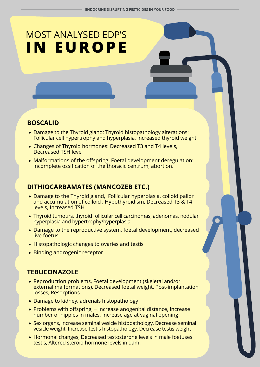# Most analysed EDP's **in Europe**

#### **Boscalid**

- Damage to the Thyroid gland: Thyroid histopathology alterations: Follicular cell hypertrophy and hyperplasia, Increased thyroid weight
- Changes of Thyroid hormones: Decreased T3 and T4 levels, Decreased TSH level
- Malformations of the offspring: Foetal development deregulation: incomplete ossification of the thoracic centrum, abortion.

#### **Dithiocarbamates (mancozeb etc.)**

- Damage to the Thyroid gland, Follicular hyperplasia, colloid pallor and accumulation of colloid , Hypothyroidism, Decreased T3 & T4 levels, Increased TSH
- Thyroid tumours, thyroid follicular cell carcinomas, adenomas, nodular hyperplasia and hypertrophy/hyperplasia
- Damage to the reproductive system, foetal development, decreased live foetus
- Histopathologic changes to ovaries and testis
- Binding androgenic receptor

#### **Tebuconazole**

- Reproduction problems, Foetal development (skeletal and/or external malformations), Decreased foetal weight, Post-implantation losses, Resorptions
- Damage to kidney, adrenals histopathology
- • Problems with offspring, − Increase anogenital distance, Increase number of nipples in males, Increase age at vaginal opening
- Sex organs, Increase seminal vesicle histopathology, Decrease seminal vesicle weight, Increase testis histopathology, Decrease testis weight
- Hormonal changes, Decreased testosterone levels in male foetuses testis, Altered steroid hormone levels in dam.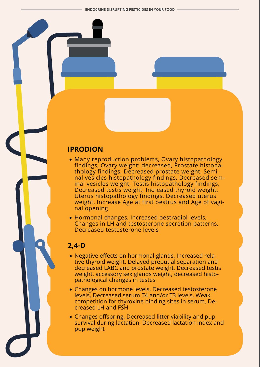#### **Iprodion**

- Many reproduction problems, Ovary histopathology findings, Ovary weight: decreased, Prostate histopathology findings, Decreased prostate weight, Seminal vesicles histopathology findings, Decreased seminal vesicles weight, Testis histopathology findings, Decreased testis weight, Increased thyroid weight, Uterus histopathology findings, Decreased uterus weight, Increase Age at first oestrus and Age of vaginal opening
- Hormonal changes, Increased oestradiol levels, Changes in LH and testosterone secretion patterns, Decreased testosterone levels

#### **2,4-D**

- Negative effects on hormonal glands, Increased relative thyroid weight, Delayed preputial separation and decreased LABC and prostate weight, Decreased testis weight, accessory sex glands weight, decreased histopathological changes in testes
- Changes on hormone levels, Decreased testosterone levels, Decreased serum T4 and/or T3 levels, Weak competition for thyroxine binding sites in serum, Decreased LH and FSH
- Changes offspring, Decreased litter viability and pup survival during lactation, Decreased lactation index and pup weight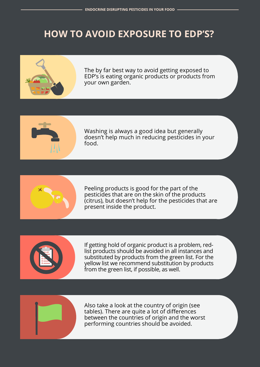### **How to avoid exposure to EDP's?**



The by far best way to avoid getting exposed to EDP's is eating organic products or products from your own garden.



Washing is always a good idea but generally doesn't help much in reducing pesticides in your food.



Peeling products is good for the part of the pesticides that are on the skin of the products (citrus), but doesn't help for the pesticides that are present inside the product.



If getting hold of organic product is a problem, redlist products should be avoided in all instances and substituted by products from the green list. For the yellow list we recommend substitution by products from the green list, if possible, as well.



Also take a look at the country of origin (see tables). There are quite a lot of differences between the countries of origin and the worst performing countries should be avoided.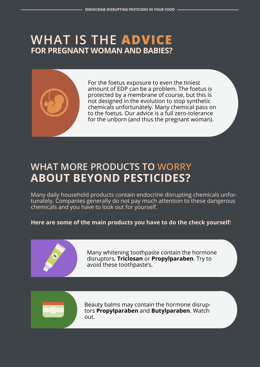### **What is the advice for pregnant woman and babies?**



For the foetus exposure to even the tiniest amount of EDP can be a problem. The foetus is protected by a membrane of course, but this is not designed in the evolution to stop synthetic chemicals unfortunately. Many chemical pass on to the foetus. Our advice is a full zero-tolerance for the unborn (and thus the pregnant woman).

### **What more products to worry about beyond pesticides?**

Many daily household products contain endocrine disrupting chemicals unfortunately. Companies generally do not pay much attention to these dangerous chemicals and you have to look out for yourself.

#### **Here are some of the main products you have to do the check yourself:**



Many whitening toothpaste contain the hormone disruptors, **Triclosan** or **Propylparaben**. Try to avoid these toothpaste's.



Beauty balms may contain the hormone disruptors **Propylparaben** and **Butylparaben**. Watch